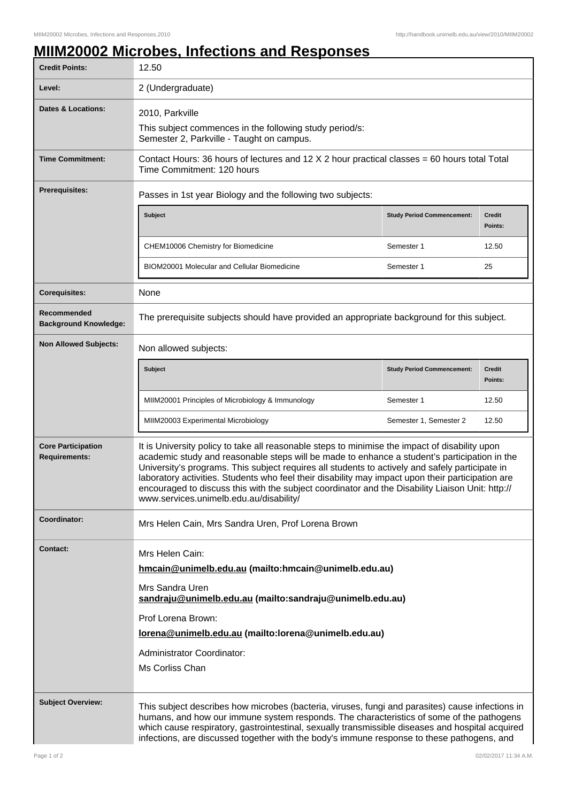## **MIIM20002 Microbes, Infections and Responses**

| <b>Credit Points:</b>                             | 12.50                                                                                                                                                                                                                                                                                                                                                                                                                                                                                                                                                 |                                   |                          |
|---------------------------------------------------|-------------------------------------------------------------------------------------------------------------------------------------------------------------------------------------------------------------------------------------------------------------------------------------------------------------------------------------------------------------------------------------------------------------------------------------------------------------------------------------------------------------------------------------------------------|-----------------------------------|--------------------------|
| Level:                                            | 2 (Undergraduate)                                                                                                                                                                                                                                                                                                                                                                                                                                                                                                                                     |                                   |                          |
| <b>Dates &amp; Locations:</b>                     | 2010, Parkville<br>This subject commences in the following study period/s:<br>Semester 2, Parkville - Taught on campus.                                                                                                                                                                                                                                                                                                                                                                                                                               |                                   |                          |
| <b>Time Commitment:</b>                           | Contact Hours: 36 hours of lectures and 12 $X$ 2 hour practical classes = 60 hours total Total<br>Time Commitment: 120 hours                                                                                                                                                                                                                                                                                                                                                                                                                          |                                   |                          |
| <b>Prerequisites:</b>                             | Passes in 1st year Biology and the following two subjects:                                                                                                                                                                                                                                                                                                                                                                                                                                                                                            |                                   |                          |
|                                                   | <b>Subject</b>                                                                                                                                                                                                                                                                                                                                                                                                                                                                                                                                        | <b>Study Period Commencement:</b> | <b>Credit</b><br>Points: |
|                                                   | CHEM10006 Chemistry for Biomedicine                                                                                                                                                                                                                                                                                                                                                                                                                                                                                                                   | Semester 1                        | 12.50                    |
|                                                   | BIOM20001 Molecular and Cellular Biomedicine                                                                                                                                                                                                                                                                                                                                                                                                                                                                                                          | Semester 1                        | 25                       |
| <b>Corequisites:</b>                              | None                                                                                                                                                                                                                                                                                                                                                                                                                                                                                                                                                  |                                   |                          |
| Recommended<br><b>Background Knowledge:</b>       | The prerequisite subjects should have provided an appropriate background for this subject.                                                                                                                                                                                                                                                                                                                                                                                                                                                            |                                   |                          |
| <b>Non Allowed Subjects:</b>                      | Non allowed subjects:                                                                                                                                                                                                                                                                                                                                                                                                                                                                                                                                 |                                   |                          |
|                                                   | <b>Subject</b>                                                                                                                                                                                                                                                                                                                                                                                                                                                                                                                                        | <b>Study Period Commencement:</b> | <b>Credit</b><br>Points: |
|                                                   | MIIM20001 Principles of Microbiology & Immunology                                                                                                                                                                                                                                                                                                                                                                                                                                                                                                     | Semester 1                        | 12.50                    |
|                                                   | MIIM20003 Experimental Microbiology                                                                                                                                                                                                                                                                                                                                                                                                                                                                                                                   | Semester 1, Semester 2            | 12.50                    |
| <b>Core Participation</b><br><b>Requirements:</b> | It is University policy to take all reasonable steps to minimise the impact of disability upon<br>academic study and reasonable steps will be made to enhance a student's participation in the<br>University's programs. This subject requires all students to actively and safely participate in<br>laboratory activities. Students who feel their disability may impact upon their participation are<br>encouraged to discuss this with the subject coordinator and the Disability Liaison Unit: http://<br>www.services.unimelb.edu.au/disability/ |                                   |                          |
| Coordinator:                                      | Mrs Helen Cain, Mrs Sandra Uren, Prof Lorena Brown                                                                                                                                                                                                                                                                                                                                                                                                                                                                                                    |                                   |                          |
| <b>Contact:</b>                                   | Mrs Helen Cain:<br>hmcain@unimelb.edu.au (mailto:hmcain@unimelb.edu.au)<br>Mrs Sandra Uren<br>sandraju@unimelb.edu.au (mailto:sandraju@unimelb.edu.au)<br>Prof Lorena Brown:<br>lorena@unimelb.edu.au (mailto:lorena@unimelb.edu.au)<br>Administrator Coordinator:<br>Ms Corliss Chan                                                                                                                                                                                                                                                                 |                                   |                          |
| <b>Subject Overview:</b>                          | This subject describes how microbes (bacteria, viruses, fungi and parasites) cause infections in<br>humans, and how our immune system responds. The characteristics of some of the pathogens<br>which cause respiratory, gastrointestinal, sexually transmissible diseases and hospital acquired<br>infections, are discussed together with the body's immune response to these pathogens, and                                                                                                                                                        |                                   |                          |